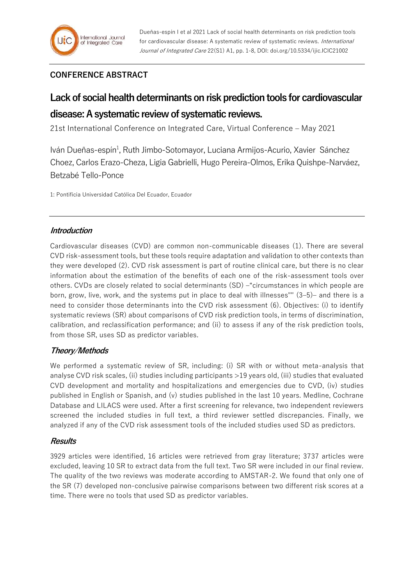## **CONFERENCE ABSTRACT**

# **Lack of social health determinants on risk prediction tools for cardiovascular disease: A systematic review of systematic reviews.**

21st International Conference on Integrated Care, Virtual Conference – May 2021

Iván Dueñas-espín<sup>1</sup>, Ruth Jimbo-Sotomayor, Luciana Armijos-Acurio, Xavier Sánchez Choez, Carlos Erazo-Cheza, Ligia Gabrielli, Hugo Pereira-Olmos, Erika Quishpe-Narváez, Betzabé Tello-Ponce

1: Pontificia Universidad Católica Del Ecuador, Ecuador

#### **Introduction**

Cardiovascular diseases (CVD) are common non-communicable diseases (1). There are several CVD risk-assessment tools, but these tools require adaptation and validation to other contexts than they were developed (2). CVD risk assessment is part of routine clinical care, but there is no clear information about the estimation of the benefits of each one of the risk-assessment tools over others. CVDs are closely related to social determinants (SD) –"circumstances in which people are born, grow, live, work, and the systems put in place to deal with illnesses"" (3–5)– and there is a need to consider those determinants into the CVD risk assessment (6). Objectives: (i) to identify systematic reviews (SR) about comparisons of CVD risk prediction tools, in terms of discrimination, calibration, and reclassification performance; and (ii) to assess if any of the risk prediction tools, from those SR, uses SD as predictor variables.

### **Theory/Methods**

We performed a systematic review of SR, including: (i) SR with or without meta-analysis that analyse CVD risk scales, (ii) studies including participants >19 years old, (iii) studies that evaluated CVD development and mortality and hospitalizations and emergencies due to CVD, (iv) studies published in English or Spanish, and (v) studies published in the last 10 years. Medline, Cochrane Database and LILACS were used. After a first screening for relevance, two independent reviewers screened the included studies in full text, a third reviewer settled discrepancies. Finally, we analyzed if any of the CVD risk assessment tools of the included studies used SD as predictors.

#### **Results**

3929 articles were identified, 16 articles were retrieved from gray literature; 3737 articles were excluded, leaving 10 SR to extract data from the full text. Two SR were included in our final review. The quality of the two reviews was moderate according to AMSTAR-2. We found that only one of the SR (7) developed non-conclusive pairwise comparisons between two different risk scores at a time. There were no tools that used SD as predictor variables.